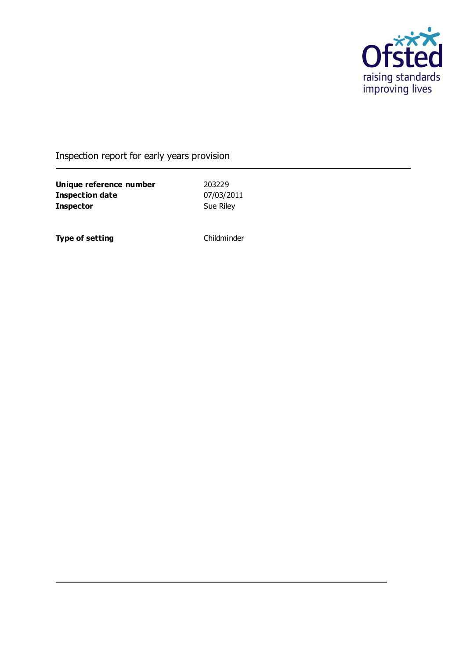

# Inspection report for early years provision

**Unique reference number** 203229<br> **Inspection date** 07/03/2011 **Inspection date** 07/03/201<br> **Inspector** Sue Riley **Inspector** 

**Type of setting** Childminder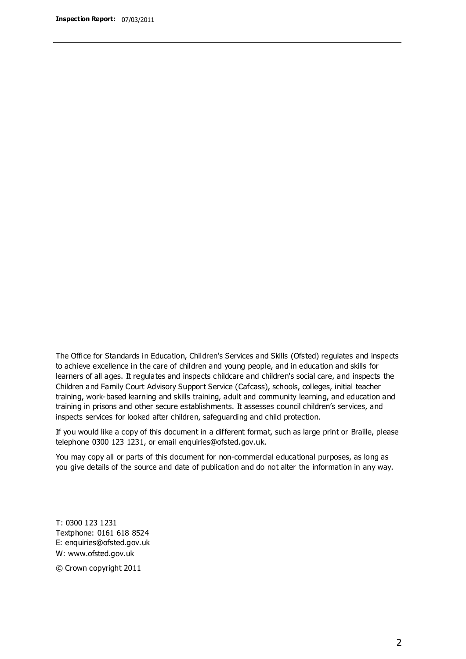The Office for Standards in Education, Children's Services and Skills (Ofsted) regulates and inspects to achieve excellence in the care of children and young people, and in education and skills for learners of all ages. It regulates and inspects childcare and children's social care, and inspects the Children and Family Court Advisory Support Service (Cafcass), schools, colleges, initial teacher training, work-based learning and skills training, adult and community learning, and education and training in prisons and other secure establishments. It assesses council children's services, and inspects services for looked after children, safeguarding and child protection.

If you would like a copy of this document in a different format, such as large print or Braille, please telephone 0300 123 1231, or email enquiries@ofsted.gov.uk.

You may copy all or parts of this document for non-commercial educational purposes, as long as you give details of the source and date of publication and do not alter the information in any way.

T: 0300 123 1231 Textphone: 0161 618 8524 E: enquiries@ofsted.gov.uk W: [www.ofsted.gov.uk](http://www.ofsted.gov.uk/)

© Crown copyright 2011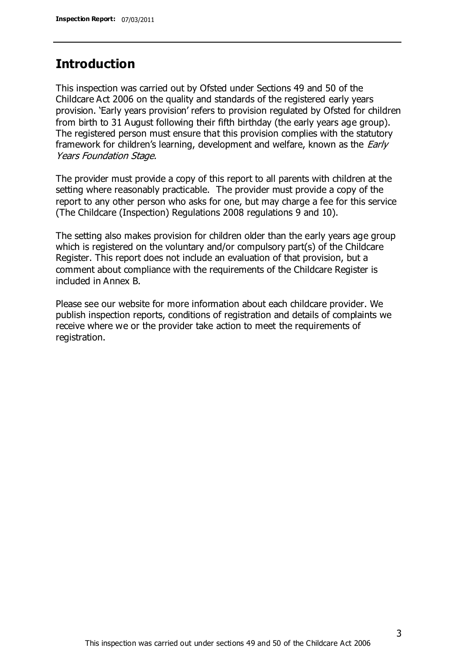### **Introduction**

This inspection was carried out by Ofsted under Sections 49 and 50 of the Childcare Act 2006 on the quality and standards of the registered early years provision. 'Early years provision' refers to provision regulated by Ofsted for children from birth to 31 August following their fifth birthday (the early years age group). The registered person must ensure that this provision complies with the statutory framework for children's learning, development and welfare, known as the *Early* Years Foundation Stage.

The provider must provide a copy of this report to all parents with children at the setting where reasonably practicable. The provider must provide a copy of the report to any other person who asks for one, but may charge a fee for this service (The Childcare (Inspection) Regulations 2008 regulations 9 and 10).

The setting also makes provision for children older than the early years age group which is registered on the voluntary and/or compulsory part(s) of the Childcare Register. This report does not include an evaluation of that provision, but a comment about compliance with the requirements of the Childcare Register is included in Annex B.

Please see our website for more information about each childcare provider. We publish inspection reports, conditions of registration and details of complaints we receive where we or the provider take action to meet the requirements of registration.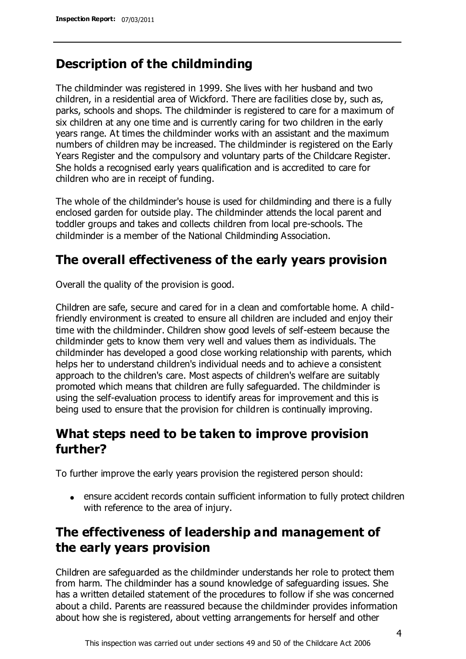# **Description of the childminding**

The childminder was registered in 1999. She lives with her husband and two children, in a residential area of Wickford. There are facilities close by, such as, parks, schools and shops. The childminder is registered to care for a maximum of six children at any one time and is currently caring for two children in the early years range. At times the childminder works with an assistant and the maximum numbers of children may be increased. The childminder is registered on the Early Years Register and the compulsory and voluntary parts of the Childcare Register. She holds a recognised early years qualification and is accredited to care for children who are in receipt of funding.

The whole of the childminder's house is used for childminding and there is a fully enclosed garden for outside play. The childminder attends the local parent and toddler groups and takes and collects children from local pre-schools. The childminder is a member of the National Childminding Association.

# **The overall effectiveness of the early years provision**

Overall the quality of the provision is good.

Children are safe, secure and cared for in a clean and comfortable home. A childfriendly environment is created to ensure all children are included and enjoy their time with the childminder. Children show good levels of self-esteem because the childminder gets to know them very well and values them as individuals. The childminder has developed a good close working relationship with parents, which helps her to understand children's individual needs and to achieve a consistent approach to the children's care. Most aspects of children's welfare are suitably promoted which means that children are fully safeguarded. The childminder is using the self-evaluation process to identify areas for improvement and this is being used to ensure that the provision for children is continually improving.

# **What steps need to be taken to improve provision further?**

To further improve the early years provision the registered person should:

ensure accident records contain sufficient information to fully protect children with reference to the area of injury.

# **The effectiveness of leadership and management of the early years provision**

Children are safeguarded as the childminder understands her role to protect them from harm. The childminder has a sound knowledge of safeguarding issues. She has a written detailed statement of the procedures to follow if she was concerned about a child. Parents are reassured because the childminder provides information about how she is registered, about vetting arrangements for herself and other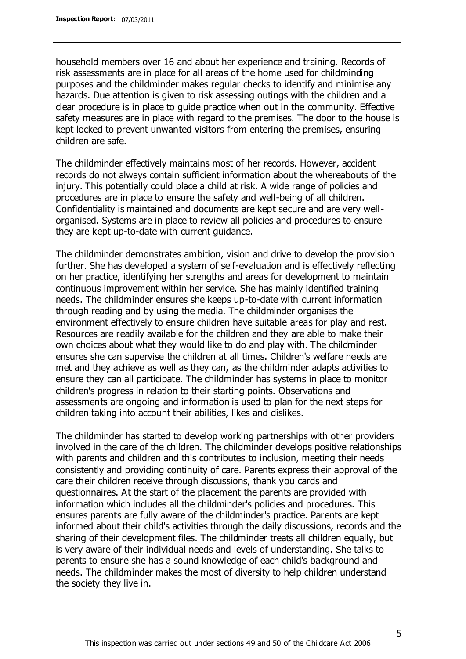household members over 16 and about her experience and training. Records of risk assessments are in place for all areas of the home used for childminding purposes and the childminder makes regular checks to identify and minimise any hazards. Due attention is given to risk assessing outings with the children and a clear procedure is in place to guide practice when out in the community. Effective safety measures are in place with regard to the premises. The door to the house is kept locked to prevent unwanted visitors from entering the premises, ensuring children are safe.

The childminder effectively maintains most of her records. However, accident records do not always contain sufficient information about the whereabouts of the injury. This potentially could place a child at risk. A wide range of policies and procedures are in place to ensure the safety and well-being of all children. Confidentiality is maintained and documents are kept secure and are very wellorganised. Systems are in place to review all policies and procedures to ensure they are kept up-to-date with current guidance.

The childminder demonstrates ambition, vision and drive to develop the provision further. She has developed a system of self-evaluation and is effectively reflecting on her practice, identifying her strengths and areas for development to maintain continuous improvement within her service. She has mainly identified training needs. The childminder ensures she keeps up-to-date with current information through reading and by using the media. The childminder organises the environment effectively to ensure children have suitable areas for play and rest. Resources are readily available for the children and they are able to make their own choices about what they would like to do and play with. The childminder ensures she can supervise the children at all times. Children's welfare needs are met and they achieve as well as they can, as the childminder adapts activities to ensure they can all participate. The childminder has systems in place to monitor children's progress in relation to their starting points. Observations and assessments are ongoing and information is used to plan for the next steps for children taking into account their abilities, likes and dislikes.

The childminder has started to develop working partnerships with other providers involved in the care of the children. The childminder develops positive relationships with parents and children and this contributes to inclusion, meeting their needs consistently and providing continuity of care. Parents express their approval of the care their children receive through discussions, thank you cards and questionnaires. At the start of the placement the parents are provided with information which includes all the childminder's policies and procedures. This ensures parents are fully aware of the childminder's practice. Parents are kept informed about their child's activities through the daily discussions, records and the sharing of their development files. The childminder treats all children equally, but is very aware of their individual needs and levels of understanding. She talks to parents to ensure she has a sound knowledge of each child's background and needs. The childminder makes the most of diversity to help children understand the society they live in.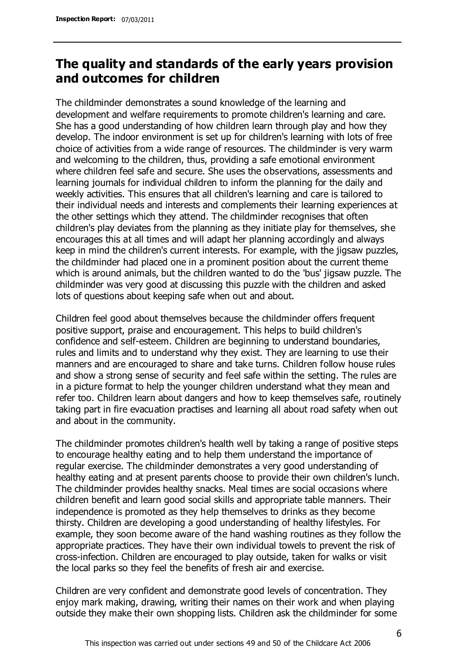# **The quality and standards of the early years provision and outcomes for children**

The childminder demonstrates a sound knowledge of the learning and development and welfare requirements to promote children's learning and care. She has a good understanding of how children learn through play and how they develop. The indoor environment is set up for children's learning with lots of free choice of activities from a wide range of resources. The childminder is very warm and welcoming to the children, thus, providing a safe emotional environment where children feel safe and secure. She uses the observations, assessments and learning journals for individual children to inform the planning for the daily and weekly activities. This ensures that all children's learning and care is tailored to their individual needs and interests and complements their learning experiences at the other settings which they attend. The childminder recognises that often children's play deviates from the planning as they initiate play for themselves, she encourages this at all times and will adapt her planning accordingly and always keep in mind the children's current interests. For example, with the jigsaw puzzles, the childminder had placed one in a prominent position about the current theme which is around animals, but the children wanted to do the 'bus' jigsaw puzzle. The childminder was very good at discussing this puzzle with the children and asked lots of questions about keeping safe when out and about.

Children feel good about themselves because the childminder offers frequent positive support, praise and encouragement. This helps to build children's confidence and self-esteem. Children are beginning to understand boundaries, rules and limits and to understand why they exist. They are learning to use their manners and are encouraged to share and take turns. Children follow house rules and show a strong sense of security and feel safe within the setting. The rules are in a picture format to help the younger children understand what they mean and refer too. Children learn about dangers and how to keep themselves safe, routinely taking part in fire evacuation practises and learning all about road safety when out and about in the community.

The childminder promotes children's health well by taking a range of positive steps to encourage healthy eating and to help them understand the importance of regular exercise. The childminder demonstrates a very good understanding of healthy eating and at present parents choose to provide their own children's lunch. The childminder provides healthy snacks. Meal times are social occasions where children benefit and learn good social skills and appropriate table manners. Their independence is promoted as they help themselves to drinks as they become thirsty. Children are developing a good understanding of healthy lifestyles. For example, they soon become aware of the hand washing routines as they follow the appropriate practices. They have their own individual towels to prevent the risk of cross-infection. Children are encouraged to play outside, taken for walks or visit the local parks so they feel the benefits of fresh air and exercise.

Children are very confident and demonstrate good levels of concentration. They enjoy mark making, drawing, writing their names on their work and when playing outside they make their own shopping lists. Children ask the childminder for some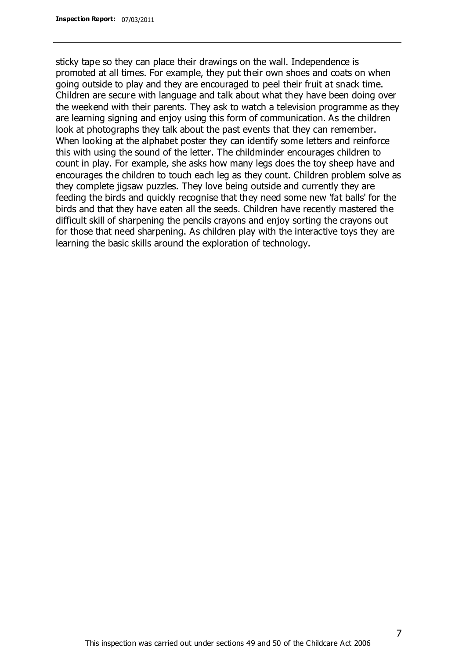sticky tape so they can place their drawings on the wall. Independence is promoted at all times. For example, they put their own shoes and coats on when going outside to play and they are encouraged to peel their fruit at snack time. Children are secure with language and talk about what they have been doing over the weekend with their parents. They ask to watch a television programme as they are learning signing and enjoy using this form of communication. As the children look at photographs they talk about the past events that they can remember. When looking at the alphabet poster they can identify some letters and reinforce this with using the sound of the letter. The childminder encourages children to count in play. For example, she asks how many legs does the toy sheep have and encourages the children to touch each leg as they count. Children problem solve as they complete jigsaw puzzles. They love being outside and currently they are feeding the birds and quickly recognise that they need some new 'fat balls' for the birds and that they have eaten all the seeds. Children have recently mastered the difficult skill of sharpening the pencils crayons and enjoy sorting the crayons out for those that need sharpening. As children play with the interactive toys they are learning the basic skills around the exploration of technology.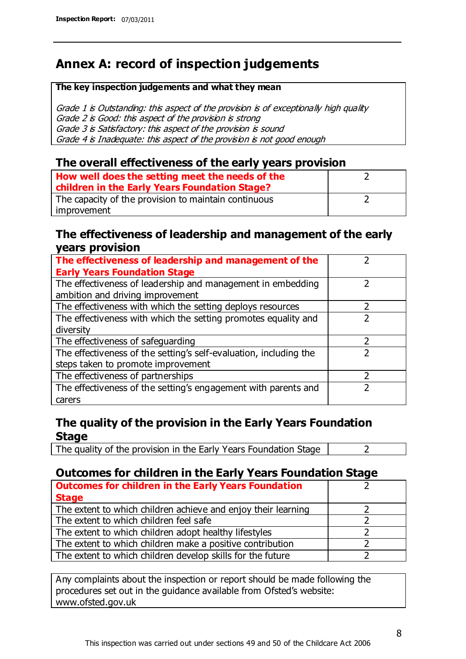# **Annex A: record of inspection judgements**

#### **The key inspection judgements and what they mean**

Grade 1 is Outstanding: this aspect of the provision is of exceptionally high quality Grade 2 is Good: this aspect of the provision is strong Grade 3 is Satisfactory: this aspect of the provision is sound Grade 4 is Inadequate: this aspect of the provision is not good enough

#### **The overall effectiveness of the early years provision**

| How well does the setting meet the needs of the<br>children in the Early Years Foundation Stage? |  |
|--------------------------------------------------------------------------------------------------|--|
| The capacity of the provision to maintain continuous                                             |  |
| improvement                                                                                      |  |

#### **The effectiveness of leadership and management of the early years provision**

| The effectiveness of leadership and management of the             |  |
|-------------------------------------------------------------------|--|
| <b>Early Years Foundation Stage</b>                               |  |
| The effectiveness of leadership and management in embedding       |  |
| ambition and driving improvement                                  |  |
| The effectiveness with which the setting deploys resources        |  |
| The effectiveness with which the setting promotes equality and    |  |
| diversity                                                         |  |
| The effectiveness of safeguarding                                 |  |
| The effectiveness of the setting's self-evaluation, including the |  |
| steps taken to promote improvement                                |  |
| The effectiveness of partnerships                                 |  |
| The effectiveness of the setting's engagement with parents and    |  |
| carers                                                            |  |

### **The quality of the provision in the Early Years Foundation Stage**

The quality of the provision in the Early Years Foundation Stage  $\vert$  2

### **Outcomes for children in the Early Years Foundation Stage**

| <b>Outcomes for children in the Early Years Foundation</b>    |  |
|---------------------------------------------------------------|--|
| <b>Stage</b>                                                  |  |
| The extent to which children achieve and enjoy their learning |  |
| The extent to which children feel safe                        |  |
| The extent to which children adopt healthy lifestyles         |  |
| The extent to which children make a positive contribution     |  |
| The extent to which children develop skills for the future    |  |

Any complaints about the inspection or report should be made following the procedures set out in the guidance available from Ofsted's website: www.ofsted.gov.uk